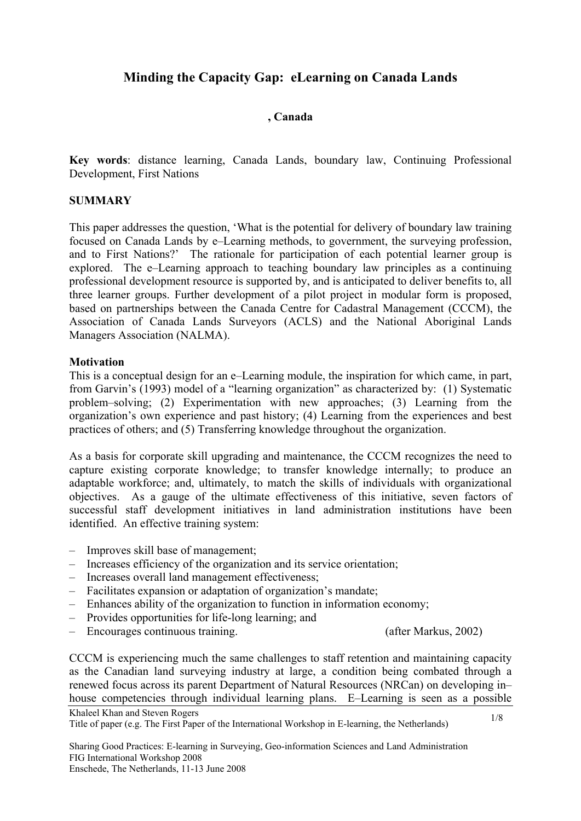# **Minding the Capacity Gap: eLearning on Canada Lands**

## **, Canada**

**Key words**: distance learning, Canada Lands, boundary law, Continuing Professional Development, First Nations

### **SUMMARY**

This paper addresses the question, 'What is the potential for delivery of boundary law training focused on Canada Lands by e–Learning methods, to government, the surveying profession, and to First Nations?' The rationale for participation of each potential learner group is explored. The e–Learning approach to teaching boundary law principles as a continuing professional development resource is supported by, and is anticipated to deliver benefits to, all three learner groups. Further development of a pilot project in modular form is proposed, based on partnerships between the Canada Centre for Cadastral Management (CCCM), the Association of Canada Lands Surveyors (ACLS) and the National Aboriginal Lands Managers Association (NALMA).

#### **Motivation**

This is a conceptual design for an e–Learning module, the inspiration for which came, in part, from Garvin's (1993) model of a "learning organization" as characterized by: (1) Systematic problem–solving; (2) Experimentation with new approaches; (3) Learning from the organization's own experience and past history; (4) Learning from the experiences and best practices of others; and (5) Transferring knowledge throughout the organization.

As a basis for corporate skill upgrading and maintenance, the CCCM recognizes the need to capture existing corporate knowledge; to transfer knowledge internally; to produce an adaptable workforce; and, ultimately, to match the skills of individuals with organizational objectives. As a gauge of the ultimate effectiveness of this initiative, seven factors of successful staff development initiatives in land administration institutions have been identified. An effective training system:

- Improves skill base of management;
- Increases efficiency of the organization and its service orientation;
- Increases overall land management effectiveness;
- Facilitates expansion or adaptation of organization's mandate;
- Enhances ability of the organization to function in information economy;
- Provides opportunities for life-long learning; and
- Encourages continuous training. (after Markus, 2002)

Khaleel Khan and Steven Rogers CCCM is experiencing much the same challenges to staff retention and maintaining capacity as the Canadian land surveying industry at large, a condition being combated through a renewed focus across its parent Department of Natural Resources (NRCan) on developing in– house competencies through individual learning plans. E–Learning is seen as a possible

Title of paper (e.g. The First Paper of the International Workshop in E-learning, the Netherlands)

Sharing Good Practices: E-learning in Surveying, Geo-information Sciences and Land Administration FIG International Workshop 2008 Enschede, The Netherlands, 11-13 June 2008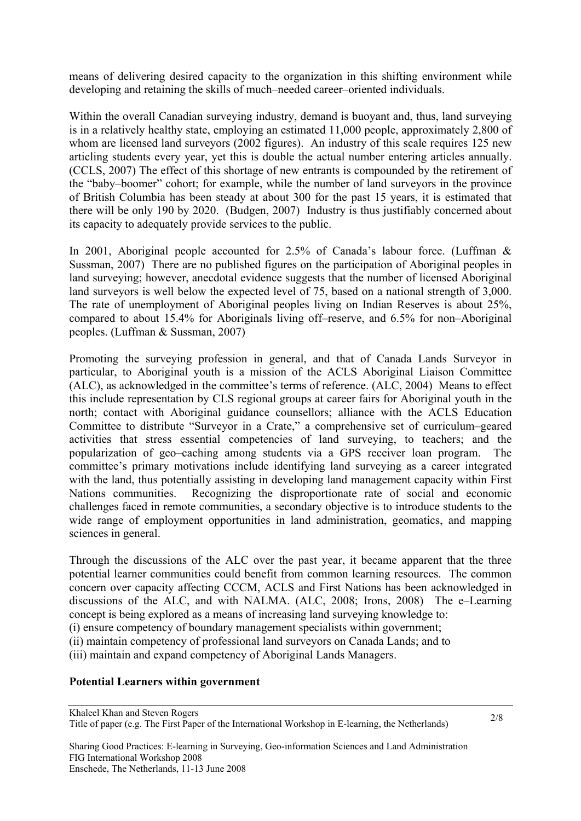means of delivering desired capacity to the organization in this shifting environment while developing and retaining the skills of much–needed career–oriented individuals.

Within the overall Canadian surveying industry, demand is buoyant and, thus, land surveying is in a relatively healthy state, employing an estimated 11,000 people, approximately 2,800 of whom are licensed land surveyors (2002 figures). An industry of this scale requires 125 new articling students every year, yet this is double the actual number entering articles annually. (CCLS, 2007) The effect of this shortage of new entrants is compounded by the retirement of the "baby–boomer" cohort; for example, while the number of land surveyors in the province of British Columbia has been steady at about 300 for the past 15 years, it is estimated that there will be only 190 by 2020. (Budgen, 2007) Industry is thus justifiably concerned about its capacity to adequately provide services to the public.

In 2001, Aboriginal people accounted for 2.5% of Canada's labour force. (Luffman & Sussman, 2007) There are no published figures on the participation of Aboriginal peoples in land surveying; however, anecdotal evidence suggests that the number of licensed Aboriginal land surveyors is well below the expected level of 75, based on a national strength of 3,000. The rate of unemployment of Aboriginal peoples living on Indian Reserves is about 25%, compared to about 15.4% for Aboriginals living off–reserve, and 6.5% for non–Aboriginal peoples. (Luffman & Sussman, 2007)

Promoting the surveying profession in general, and that of Canada Lands Surveyor in particular, to Aboriginal youth is a mission of the ACLS Aboriginal Liaison Committee (ALC), as acknowledged in the committee's terms of reference. (ALC, 2004) Means to effect this include representation by CLS regional groups at career fairs for Aboriginal youth in the north; contact with Aboriginal guidance counsellors; alliance with the ACLS Education Committee to distribute "Surveyor in a Crate," a comprehensive set of curriculum–geared activities that stress essential competencies of land surveying, to teachers; and the popularization of geo–caching among students via a GPS receiver loan program. The committee's primary motivations include identifying land surveying as a career integrated with the land, thus potentially assisting in developing land management capacity within First Nations communities. Recognizing the disproportionate rate of social and economic challenges faced in remote communities, a secondary objective is to introduce students to the wide range of employment opportunities in land administration, geomatics, and mapping sciences in general.

Through the discussions of the ALC over the past year, it became apparent that the three potential learner communities could benefit from common learning resources. The common concern over capacity affecting CCCM, ACLS and First Nations has been acknowledged in discussions of the ALC, and with NALMA. (ALC, 2008; Irons, 2008) The e–Learning concept is being explored as a means of increasing land surveying knowledge to: (i) ensure competency of boundary management specialists within government;

(ii) maintain competency of professional land surveyors on Canada Lands; and to

(iii) maintain and expand competency of Aboriginal Lands Managers.

# **Potential Learners within government**

Khaleel Khan and Steven Rogers Title of paper (e.g. The First Paper of the International Workshop in E-learning, the Netherlands)

Sharing Good Practices: E-learning in Surveying, Geo-information Sciences and Land Administration FIG International Workshop 2008 Enschede, The Netherlands, 11-13 June 2008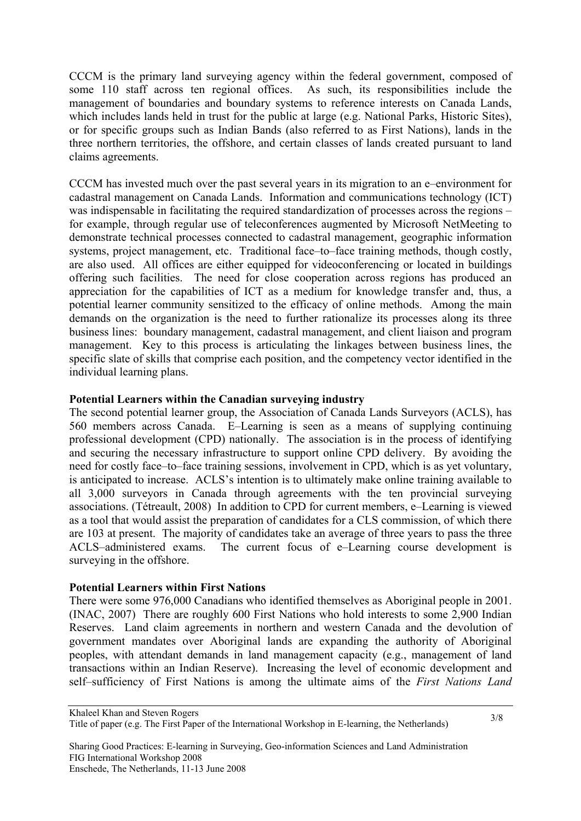CCCM is the primary land surveying agency within the federal government, composed of some 110 staff across ten regional offices. As such, its responsibilities include the management of boundaries and boundary systems to reference interests on Canada Lands, which includes lands held in trust for the public at large (e.g. National Parks, Historic Sites), or for specific groups such as Indian Bands (also referred to as First Nations), lands in the three northern territories, the offshore, and certain classes of lands created pursuant to land claims agreements.

CCCM has invested much over the past several years in its migration to an e–environment for cadastral management on Canada Lands. Information and communications technology (ICT) was indispensable in facilitating the required standardization of processes across the regions – for example, through regular use of teleconferences augmented by Microsoft NetMeeting to demonstrate technical processes connected to cadastral management, geographic information systems, project management, etc. Traditional face–to–face training methods, though costly, are also used. All offices are either equipped for videoconferencing or located in buildings offering such facilities. The need for close cooperation across regions has produced an appreciation for the capabilities of ICT as a medium for knowledge transfer and, thus, a potential learner community sensitized to the efficacy of online methods. Among the main demands on the organization is the need to further rationalize its processes along its three business lines: boundary management, cadastral management, and client liaison and program management. Key to this process is articulating the linkages between business lines, the specific slate of skills that comprise each position, and the competency vector identified in the individual learning plans.

# **Potential Learners within the Canadian surveying industry**

The second potential learner group, the Association of Canada Lands Surveyors (ACLS), has 560 members across Canada. E–Learning is seen as a means of supplying continuing professional development (CPD) nationally. The association is in the process of identifying and securing the necessary infrastructure to support online CPD delivery. By avoiding the need for costly face–to–face training sessions, involvement in CPD, which is as yet voluntary, is anticipated to increase. ACLS's intention is to ultimately make online training available to all 3,000 surveyors in Canada through agreements with the ten provincial surveying associations. (Tétreault, 2008) In addition to CPD for current members, e–Learning is viewed as a tool that would assist the preparation of candidates for a CLS commission, of which there are 103 at present. The majority of candidates take an average of three years to pass the three ACLS–administered exams. The current focus of e–Learning course development is surveying in the offshore.

#### **Potential Learners within First Nations**

There were some 976,000 Canadians who identified themselves as Aboriginal people in 2001. (INAC, 2007) There are roughly 600 First Nations who hold interests to some 2,900 Indian Reserves. Land claim agreements in northern and western Canada and the devolution of government mandates over Aboriginal lands are expanding the authority of Aboriginal peoples, with attendant demands in land management capacity (e.g., management of land transactions within an Indian Reserve). Increasing the level of economic development and self–sufficiency of First Nations is among the ultimate aims of the *First Nations Land* 

Khaleel Khan and Steven Rogers Title of paper (e.g. The First Paper of the International Workshop in E-learning, the Netherlands)

Sharing Good Practices: E-learning in Surveying, Geo-information Sciences and Land Administration FIG International Workshop 2008 Enschede, The Netherlands, 11-13 June 2008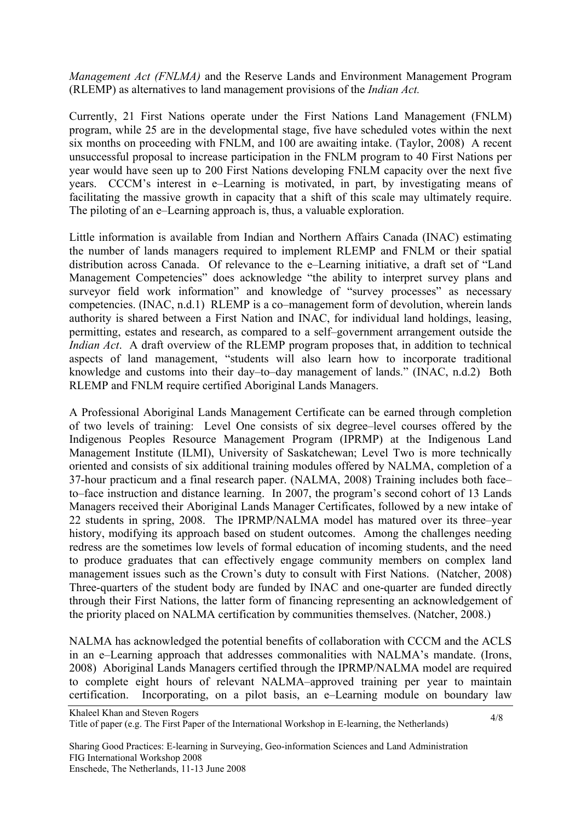*Management Act (FNLMA)* and the Reserve Lands and Environment Management Program (RLEMP) as alternatives to land management provisions of the *Indian Act.*

Currently, 21 First Nations operate under the First Nations Land Management (FNLM) program, while 25 are in the developmental stage, five have scheduled votes within the next six months on proceeding with FNLM, and 100 are awaiting intake. (Taylor, 2008) A recent unsuccessful proposal to increase participation in the FNLM program to 40 First Nations per year would have seen up to 200 First Nations developing FNLM capacity over the next five years. CCCM's interest in e–Learning is motivated, in part, by investigating means of facilitating the massive growth in capacity that a shift of this scale may ultimately require. The piloting of an e–Learning approach is, thus, a valuable exploration.

Little information is available from Indian and Northern Affairs Canada (INAC) estimating the number of lands managers required to implement RLEMP and FNLM or their spatial distribution across Canada. Of relevance to the e–Learning initiative, a draft set of "Land Management Competencies" does acknowledge "the ability to interpret survey plans and surveyor field work information" and knowledge of "survey processes" as necessary competencies. (INAC, n.d.1) RLEMP is a co–management form of devolution, wherein lands authority is shared between a First Nation and INAC, for individual land holdings, leasing, permitting, estates and research, as compared to a self–government arrangement outside the *Indian Act*. A draft overview of the RLEMP program proposes that, in addition to technical aspects of land management, "students will also learn how to incorporate traditional knowledge and customs into their day–to–day management of lands." (INAC, n.d.2) Both RLEMP and FNLM require certified Aboriginal Lands Managers.

A Professional Aboriginal Lands Management Certificate can be earned through completion of two levels of training: Level One consists of six degree–level courses offered by the Indigenous Peoples Resource Management Program (IPRMP) at the Indigenous Land Management Institute (ILMI), University of Saskatchewan; Level Two is more technically oriented and consists of six additional training modules offered by NALMA, completion of a 37-hour practicum and a final research paper. (NALMA, 2008) Training includes both face– to–face instruction and distance learning. In 2007, the program's second cohort of 13 Lands Managers received their Aboriginal Lands Manager Certificates, followed by a new intake of 22 students in spring, 2008. The IPRMP/NALMA model has matured over its three–year history, modifying its approach based on student outcomes. Among the challenges needing redress are the sometimes low levels of formal education of incoming students, and the need to produce graduates that can effectively engage community members on complex land management issues such as the Crown's duty to consult with First Nations. (Natcher, 2008) Three-quarters of the student body are funded by INAC and one-quarter are funded directly through their First Nations, the latter form of financing representing an acknowledgement of the priority placed on NALMA certification by communities themselves. (Natcher, 2008.)

NALMA has acknowledged the potential benefits of collaboration with CCCM and the ACLS in an e–Learning approach that addresses commonalities with NALMA's mandate. (Irons, 2008) Aboriginal Lands Managers certified through the IPRMP/NALMA model are required to complete eight hours of relevant NALMA–approved training per year to maintain certification. Incorporating, on a pilot basis, an e–Learning module on boundary law

Sharing Good Practices: E-learning in Surveying, Geo-information Sciences and Land Administration FIG International Workshop 2008 Enschede, The Netherlands, 11-13 June 2008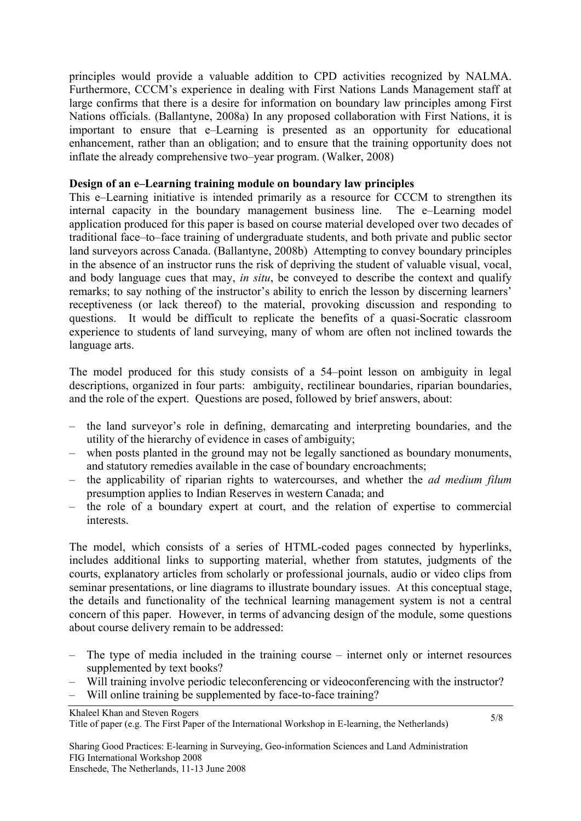principles would provide a valuable addition to CPD activities recognized by NALMA. Furthermore, CCCM's experience in dealing with First Nations Lands Management staff at large confirms that there is a desire for information on boundary law principles among First Nations officials. (Ballantyne, 2008a) In any proposed collaboration with First Nations, it is important to ensure that e–Learning is presented as an opportunity for educational enhancement, rather than an obligation; and to ensure that the training opportunity does not inflate the already comprehensive two–year program. (Walker, 2008)

## **Design of an e–Learning training module on boundary law principles**

This e–Learning initiative is intended primarily as a resource for CCCM to strengthen its internal capacity in the boundary management business line. The e–Learning model application produced for this paper is based on course material developed over two decades of traditional face–to–face training of undergraduate students, and both private and public sector land surveyors across Canada. (Ballantyne, 2008b) Attempting to convey boundary principles in the absence of an instructor runs the risk of depriving the student of valuable visual, vocal, and body language cues that may, *in situ*, be conveyed to describe the context and qualify remarks; to say nothing of the instructor's ability to enrich the lesson by discerning learners' receptiveness (or lack thereof) to the material, provoking discussion and responding to questions. It would be difficult to replicate the benefits of a quasi-Socratic classroom experience to students of land surveying, many of whom are often not inclined towards the language arts.

The model produced for this study consists of a 54–point lesson on ambiguity in legal descriptions, organized in four parts: ambiguity, rectilinear boundaries, riparian boundaries, and the role of the expert. Questions are posed, followed by brief answers, about:

- the land surveyor's role in defining, demarcating and interpreting boundaries, and the utility of the hierarchy of evidence in cases of ambiguity;
- when posts planted in the ground may not be legally sanctioned as boundary monuments, and statutory remedies available in the case of boundary encroachments;
- the applicability of riparian rights to watercourses, and whether the *ad medium filum* presumption applies to Indian Reserves in western Canada; and
- the role of a boundary expert at court, and the relation of expertise to commercial interests.

The model, which consists of a series of HTML-coded pages connected by hyperlinks, includes additional links to supporting material, whether from statutes, judgments of the courts, explanatory articles from scholarly or professional journals, audio or video clips from seminar presentations, or line diagrams to illustrate boundary issues. At this conceptual stage, the details and functionality of the technical learning management system is not a central concern of this paper. However, in terms of advancing design of the module, some questions about course delivery remain to be addressed:

- The type of media included in the training course internet only or internet resources supplemented by text books?
- Will training involve periodic teleconferencing or videoconferencing with the instructor?
- Will online training be supplemented by face-to-face training?

Khaleel Khan and Steven Rogers

Title of paper (e.g. The First Paper of the International Workshop in E-learning, the Netherlands)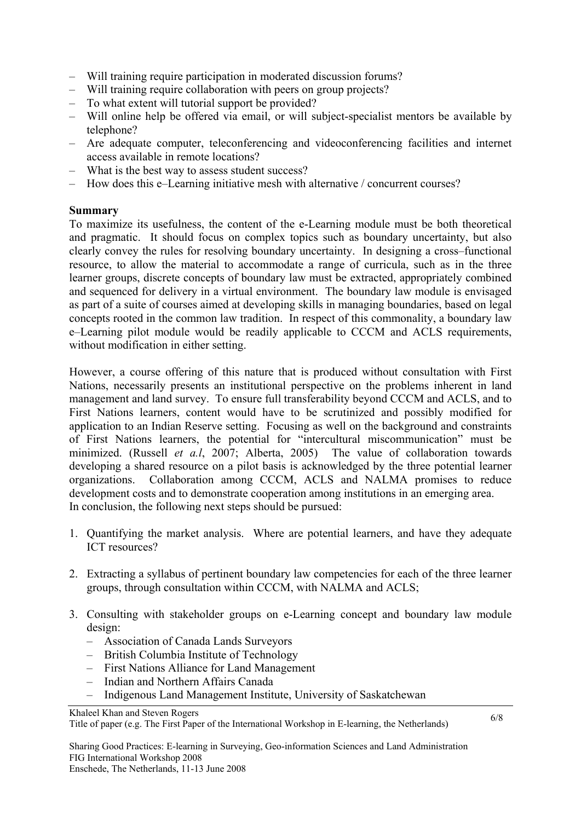- Will training require participation in moderated discussion forums?
- Will training require collaboration with peers on group projects?
- To what extent will tutorial support be provided?
- Will online help be offered via email, or will subject-specialist mentors be available by telephone?
- Are adequate computer, teleconferencing and videoconferencing facilities and internet access available in remote locations?
- What is the best way to assess student success?
- How does this e–Learning initiative mesh with alternative / concurrent courses?

#### **Summary**

To maximize its usefulness, the content of the e-Learning module must be both theoretical and pragmatic. It should focus on complex topics such as boundary uncertainty, but also clearly convey the rules for resolving boundary uncertainty. In designing a cross–functional resource, to allow the material to accommodate a range of curricula, such as in the three learner groups, discrete concepts of boundary law must be extracted, appropriately combined and sequenced for delivery in a virtual environment. The boundary law module is envisaged as part of a suite of courses aimed at developing skills in managing boundaries, based on legal concepts rooted in the common law tradition. In respect of this commonality, a boundary law e–Learning pilot module would be readily applicable to CCCM and ACLS requirements, without modification in either setting.

However, a course offering of this nature that is produced without consultation with First Nations, necessarily presents an institutional perspective on the problems inherent in land management and land survey. To ensure full transferability beyond CCCM and ACLS, and to First Nations learners, content would have to be scrutinized and possibly modified for application to an Indian Reserve setting. Focusing as well on the background and constraints of First Nations learners, the potential for "intercultural miscommunication" must be minimized. (Russell *et a.l*, 2007; Alberta, 2005) The value of collaboration towards developing a shared resource on a pilot basis is acknowledged by the three potential learner organizations. Collaboration among CCCM, ACLS and NALMA promises to reduce development costs and to demonstrate cooperation among institutions in an emerging area. In conclusion, the following next steps should be pursued:

- 1. Quantifying the market analysis. Where are potential learners, and have they adequate ICT resources?
- 2. Extracting a syllabus of pertinent boundary law competencies for each of the three learner groups, through consultation within CCCM, with NALMA and ACLS;
- 3. Consulting with stakeholder groups on e-Learning concept and boundary law module design:
	- Association of Canada Lands Surveyors
	- British Columbia Institute of Technology
	- First Nations Alliance for Land Management
	- Indian and Northern Affairs Canada
	- Indigenous Land Management Institute, University of Saskatchewan

Khaleel Khan and Steven Rogers

Title of paper (e.g. The First Paper of the International Workshop in E-learning, the Netherlands)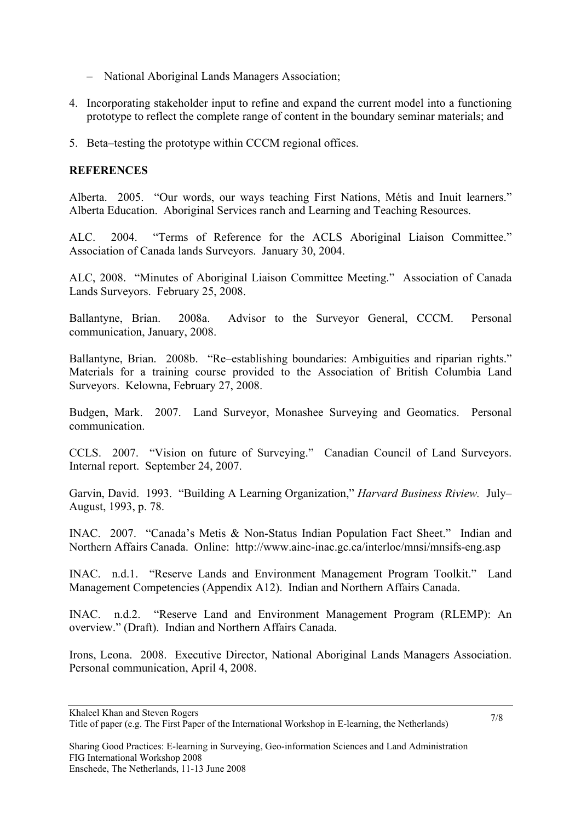- National Aboriginal Lands Managers Association;
- 4. Incorporating stakeholder input to refine and expand the current model into a functioning prototype to reflect the complete range of content in the boundary seminar materials; and
- 5. Beta–testing the prototype within CCCM regional offices.

# **REFERENCES**

Alberta. 2005. "Our words, our ways teaching First Nations, Métis and Inuit learners." Alberta Education. Aboriginal Services ranch and Learning and Teaching Resources.

ALC. 2004. "Terms of Reference for the ACLS Aboriginal Liaison Committee." Association of Canada lands Surveyors. January 30, 2004.

ALC, 2008. "Minutes of Aboriginal Liaison Committee Meeting." Association of Canada Lands Surveyors. February 25, 2008.

Ballantyne, Brian. 2008a. Advisor to the Surveyor General, CCCM. Personal communication, January, 2008.

Ballantyne, Brian. 2008b. "Re–establishing boundaries: Ambiguities and riparian rights." Materials for a training course provided to the Association of British Columbia Land Surveyors. Kelowna, February 27, 2008.

Budgen, Mark. 2007. Land Surveyor, Monashee Surveying and Geomatics. Personal communication.

CCLS. 2007. "Vision on future of Surveying." Canadian Council of Land Surveyors. Internal report. September 24, 2007.

Garvin, David. 1993. "Building A Learning Organization," *Harvard Business Riview.* July– August, 1993, p. 78.

INAC. 2007. "Canada's Metis & Non-Status Indian Population Fact Sheet." Indian and Northern Affairs Canada. Online: http://www.ainc-inac.gc.ca/interloc/mnsi/mnsifs-eng.asp

INAC. n.d.1. "Reserve Lands and Environment Management Program Toolkit." Land Management Competencies (Appendix A12). Indian and Northern Affairs Canada.

INAC. n.d.2. "Reserve Land and Environment Management Program (RLEMP): An overview." (Draft). Indian and Northern Affairs Canada.

Irons, Leona. 2008. Executive Director, National Aboriginal Lands Managers Association. Personal communication, April 4, 2008.

Khaleel Khan and Steven Rogers Title of paper (e.g. The First Paper of the International Workshop in E-learning, the Netherlands)

Sharing Good Practices: E-learning in Surveying, Geo-information Sciences and Land Administration FIG International Workshop 2008 Enschede, The Netherlands, 11-13 June 2008